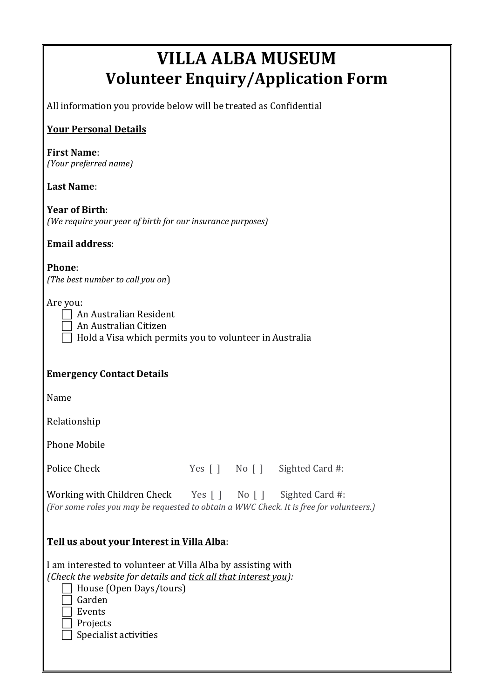# **VILLA ALBA MUSEUM Volunteer Enquiry/Application Form**

All information you provide below will be treated as Confidential

# **Your Personal Details**

#### **First Name**: *(Your preferred name)*

### **Last Name**:

**Year of Birth**: *(We require your year of birth for our insurance purposes)*

### **Email address**:

**Phone**: *(The best number to call you on*)

Are you:

| An Australian Resident |
|------------------------|
|------------------------|

An Australian Citizen

 $\Box$  Hold a Visa which permits you to volunteer in Australia

# **Emergency Contact Details**

Name

Relationship

Phone Mobile

Police Check Yes [ ] No [ ] Sighted Card #:

Working with Children Check Yes [ ] No [ ] Sighted Card #: *(For some roles you may be requested to obtain a WWC Check. It is free for volunteers.)*

# **Tell us about your Interest in Villa Alba**:

I am interested to volunteer at Villa Alba by assisting with *(Check the website for details and tick all that interest you):*

| □ House (Open Days/tours) |
|---------------------------|
| Garden                    |
|                           |

Events

Projects

Specialist activities